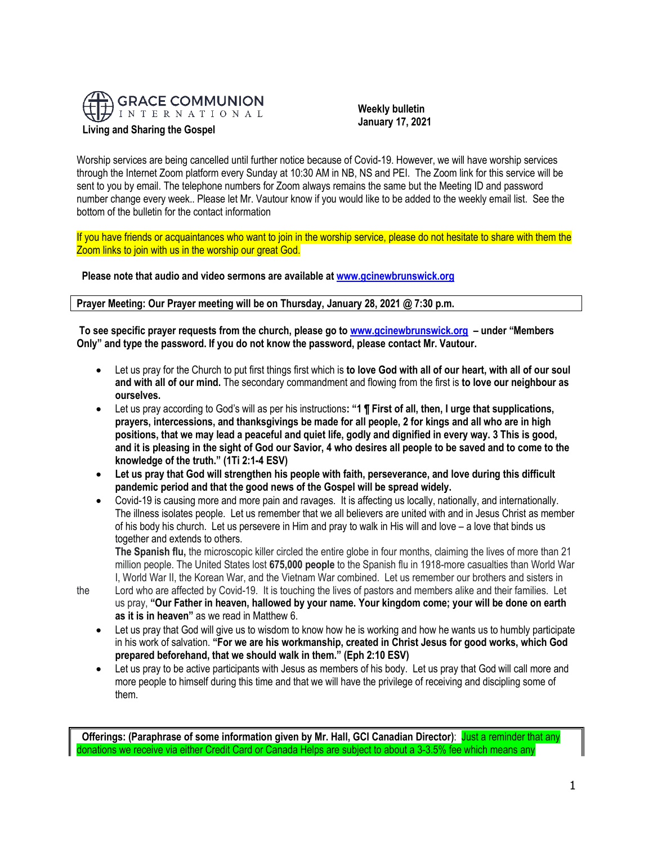

 **Weekly bulletin January 17, 2021**

Worship services are being cancelled until further notice because of Covid-19. However, we will have worship services through the Internet Zoom platform every Sunday at 10:30 AM in NB, NS and PEI. The Zoom link for this service will be sent to you by email. The telephone numbers for Zoom always remains the same but the Meeting ID and password number change every week.. Please let Mr. Vautour know if you would like to be added to the weekly email list. See the bottom of the bulletin for the contact information

If you have friends or acquaintances who want to join in the worship service, please do not hesitate to share with them the Zoom links to join with us in the worship our great God.

**Please note that audio and video sermons are available a[t www.gcinewbrunswick.org](http://www.gcinewbrunswick.org/)**

**Prayer Meeting: Our Prayer meeting will be on Thursday, January 28, 2021 @ 7:30 p.m.**

**To see specific prayer requests from the church, please go t[o www.gcinewbrunswick.org](http://www.gcinewbrunswick.org/) – under "Members Only" and type the password. If you do not know the password, please contact Mr. Vautour.**

- Let us pray for the Church to put first things first which is **to love God with all of our heart, with all of our soul and with all of our mind.** The secondary commandment and flowing from the first is **to love our neighbour as ourselves.**
- Let us pray according to God's will as per his instructions**: "1 ¶ First of all, then, I urge that supplications, prayers, intercessions, and thanksgivings be made for all people, 2 for kings and all who are in high positions, that we may lead a peaceful and quiet life, godly and dignified in every way. 3 This is good, and it is pleasing in the sight of God our Savior, 4 who desires all people to be saved and to come to the knowledge of the truth." (1Ti 2:1-4 ESV)**
- **Let us pray that God will strengthen his people with faith, perseverance, and love during this difficult pandemic period and that the good news of the Gospel will be spread widely.**
- Covid-19 is causing more and more pain and ravages. It is affecting us locally, nationally, and internationally. The illness isolates people. Let us remember that we all believers are united with and in Jesus Christ as member of his body his church. Let us persevere in Him and pray to walk in His will and love – a love that binds us together and extends to others.

**The Spanish flu,** the microscopic killer circled the entire globe in four months, claiming the lives of more than 21 million people. The United States lost **675,000 people** to the Spanish flu in 1918-more casualties than World War I, World War II, the Korean War, and the Vietnam War combined. Let us remember our brothers and sisters in

the Lord who are affected by Covid-19. It is touching the lives of pastors and members alike and their families. Let us pray, **"Our Father in heaven, hallowed by your name. Your kingdom come; your will be done on earth as it is in heaven"** as we read in Matthew 6.

- Let us pray that God will give us to wisdom to know how he is working and how he wants us to humbly participate in his work of salvation. **"For we are his workmanship, created in Christ Jesus for good works, which God prepared beforehand, that we should walk in them." (Eph 2:10 ESV)**
- Let us pray to be active participants with Jesus as members of his body. Let us pray that God will call more and more people to himself during this time and that we will have the privilege of receiving and discipling some of them.

**Offerings: (Paraphrase of some information given by Mr. Hall, GCI Canadian Director)**: Just a reminder that any donations we receive via either Credit Card or Canada Helps are subject to about a 3-3.5% fee which means any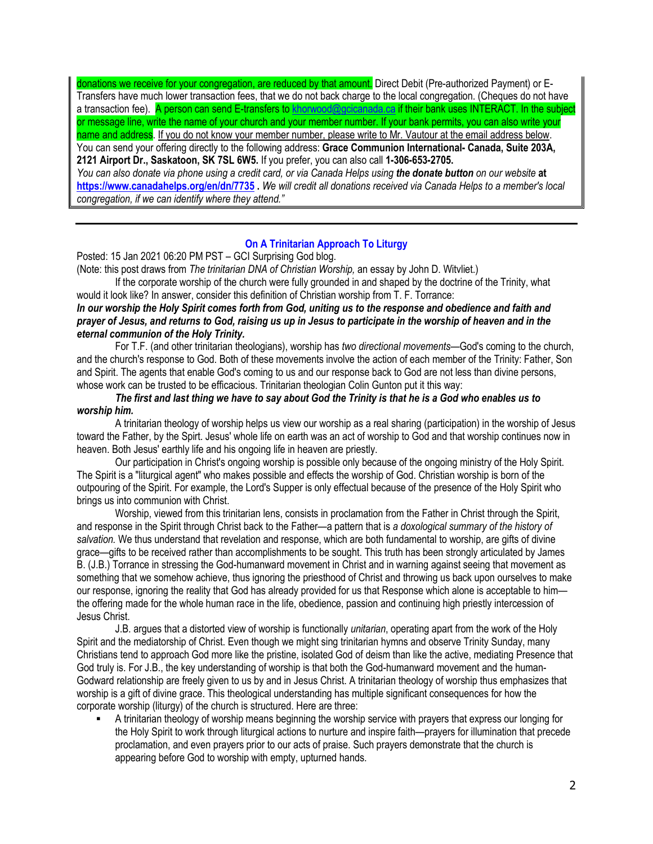donations we receive for your congregation, are reduced by that amount. Direct Debit (Pre-authorized Payment) or E-Transfers have much lower transaction fees, that we do not back charge to the local congregation. (Cheques do not have a transaction fee). A person can send E-transfers to [khorwood@gcicanada.ca](mailto:khorwood@gcicanada.ca) if their bank uses INTERACT. In the subject or message line, write the name of your church and your member number. If your bank permits, you can also write your name and address. If you do not know your member number, please write to Mr. Vautour at the email address below. You can send your offering directly to the following address: **Grace Communion International- Canada, Suite 203A, 2121 Airport Dr., Saskatoon, SK 7SL 6W5.** If you prefer, you can also call **1-306-653-2705.**  *You can also donate via phone using a credit card, or via Canada Helps using the donate button on our website* **at <https://www.canadahelps.org/en/dn/7735> .** *We will credit all donations received via Canada Helps to a member's local congregation, if we can identify where they attend."*

## **[On A Trinitarian Approach To Liturgy](https://na01.safelinks.protection.outlook.com/?url=http:%2F%2Ffeedproxy.google.com%2F~r%2Fgci%2FzGUy%2F~3%2FqGh4oZWwyBc%2Fstructuring-liturgy-in-accordance-with.html%3Futm_source%3Dfeedburner%26utm_medium%3Demail&data=04%7C01%7C%7C179f4befcbd54c01156d08d8b9f4e6a6%7C84df9e7fe9f640afb435aaaaaaaaaaaa%7C1%7C0%7C637463808809194156%7CUnknown%7CTWFpbGZsb3d8eyJWIjoiMC4wLjAwMDAiLCJQIjoiV2luMzIiLCJBTiI6Ik1haWwiLCJXVCI6Mn0%3D%7C1000&sdata=dCIpMFGygsjBTEvXdq9xL159tl7v1EordCLhl4PBLW4%3D&reserved=0)**

Posted: 15 Jan 2021 06:20 PM PST – GCI Surprising God blog.

(Note: this post draws from *The trinitarian DNA of Christian Worship,* an essay by John D. Witvliet.)

If the corporate worship of the church were fully grounded in and shaped by the doctrine of the Trinity, what would it look like? In answer, consider this definition of Christian worship from T. F. Torrance:

*In our worship the Holy Spirit comes forth from God, uniting us to the response and obedience and faith and prayer of Jesus, and returns to God, raising us up in Jesus to participate in the worship of heaven and in the eternal communion of the Holy Trinity.*

For T.F. (and other trinitarian theologians), worship has *two directional movements*—God's coming to the church, and the church's response to God. Both of these movements involve the action of each member of the Trinity: Father, Son and Spirit. The agents that enable God's coming to us and our response back to God are not less than divine persons, whose work can be trusted to be efficacious. Trinitarian theologian Colin Gunton put it this way:

# *The first and last thing we have to say about God the Trinity is that he is a God who enables us to worship him.*

A trinitarian theology of worship helps us view our worship as a real sharing (participation) in the worship of Jesus toward the Father, by the Spirt. Jesus' whole life on earth was an act of worship to God and that worship continues now in heaven. Both Jesus' earthly life and his ongoing life in heaven are priestly.

Our participation in Christ's ongoing worship is possible only because of the ongoing ministry of the Holy Spirit. The Spirit is a "liturgical agent" who makes possible and effects the worship of God. Christian worship is born of the outpouring of the Spirit. For example, the Lord's Supper is only effectual because of the presence of the Holy Spirit who brings us into communion with Christ.

Worship, viewed from this trinitarian lens, consists in proclamation from the Father in Christ through the Spirit, and response in the Spirit through Christ back to the Father—a pattern that is *a doxological summary of the history of salvation.* We thus understand that revelation and response, which are both fundamental to worship, are gifts of divine grace—gifts to be received rather than accomplishments to be sought. This truth has been strongly articulated by James B. (J.B.) Torrance in stressing the God-humanward movement in Christ and in warning against seeing that movement as something that we somehow achieve, thus ignoring the priesthood of Christ and throwing us back upon ourselves to make our response, ignoring the reality that God has already provided for us that Response which alone is acceptable to him the offering made for the whole human race in the life, obedience, passion and continuing high priestly intercession of Jesus Christ.

J.B. argues that a distorted view of worship is functionally *unitarian*, operating apart from the work of the Holy Spirit and the mediatorship of Christ. Even though we might sing trinitarian hymns and observe Trinity Sunday, many Christians tend to approach God more like the pristine, isolated God of deism than like the active, mediating Presence that God truly is. For J.B., the key understanding of worship is that both the God-humanward movement and the human-Godward relationship are freely given to us by and in Jesus Christ. A trinitarian theology of worship thus emphasizes that worship is a gift of divine grace. This theological understanding has multiple significant consequences for how the corporate worship (liturgy) of the church is structured. Here are three:

A trinitarian theology of worship means beginning the worship service with prayers that express our longing for the Holy Spirit to work through liturgical actions to nurture and inspire faith—prayers for illumination that precede proclamation, and even prayers prior to our acts of praise. Such prayers demonstrate that the church is appearing before God to worship with empty, upturned hands.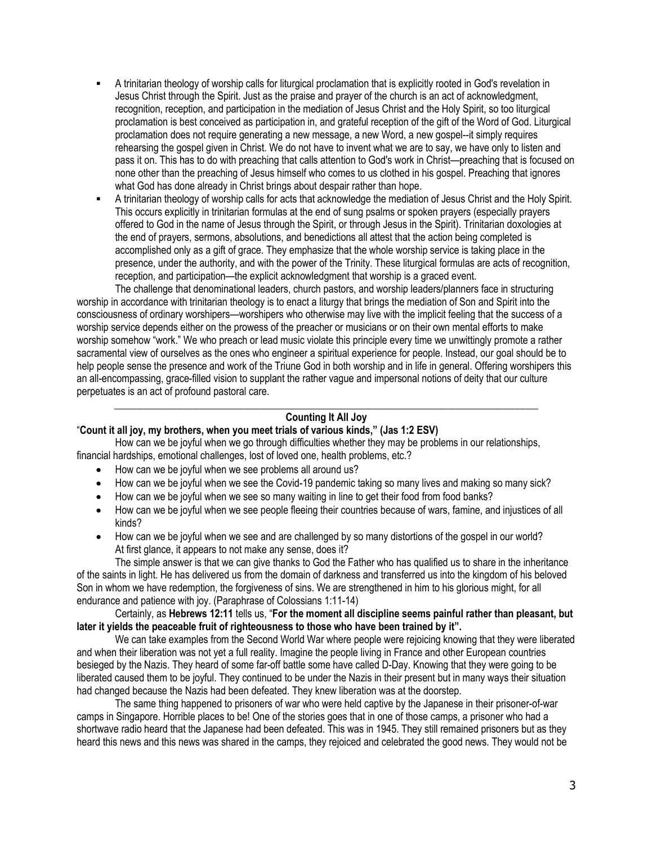- A trinitarian theology of worship calls for liturgical proclamation that is explicitly rooted in God's revelation in Jesus Christ through the Spirit. Just as the praise and prayer of the church is an act of acknowledgment, recognition, reception, and participation in the mediation of Jesus Christ and the Holy Spirit, so too liturgical proclamation is best conceived as participation in, and grateful reception of the gift of the Word of God. Liturgical proclamation does not require generating a new message, a new Word, a new gospel--it simply requires rehearsing the gospel given in Christ. We do not have to invent what we are to say, we have only to listen and pass it on. This has to do with preaching that calls attention to God's work in Christ—preaching that is focused on none other than the preaching of Jesus himself who comes to us clothed in his gospel. Preaching that ignores what God has done already in Christ brings about despair rather than hope.
- A trinitarian theology of worship calls for acts that acknowledge the mediation of Jesus Christ and the Holy Spirit. This occurs explicitly in trinitarian formulas at the end of sung psalms or spoken prayers (especially prayers offered to God in the name of Jesus through the Spirit, or through Jesus in the Spirit). Trinitarian doxologies at the end of prayers, sermons, absolutions, and benedictions all attest that the action being completed is accomplished only as a gift of grace. They emphasize that the whole worship service is taking place in the presence, under the authority, and with the power of the Trinity. These liturgical formulas are acts of recognition, reception, and participation—the explicit acknowledgment that worship is a graced event.

The challenge that denominational leaders, church pastors, and worship leaders/planners face in structuring worship in accordance with trinitarian theology is to enact a liturgy that brings the mediation of Son and Spirit into the consciousness of ordinary worshipers—worshipers who otherwise may live with the implicit feeling that the success of a worship service depends either on the prowess of the preacher or musicians or on their own mental efforts to make worship somehow "work." We who preach or lead music violate this principle every time we unwittingly promote a rather sacramental view of ourselves as the ones who engineer a spiritual experience for people. Instead, our goal should be to help people sense the presence and work of the Triune God in both worship and in life in general. Offering worshipers this an all-encompassing, grace-filled vision to supplant the rather vague and impersonal notions of deity that our culture perpetuates is an act of profound pastoral care.

## **\_\_\_\_\_\_\_\_\_\_\_\_\_\_\_\_\_\_\_\_\_\_\_\_\_\_\_\_\_\_\_\_\_\_\_\_\_\_\_\_\_\_\_\_\_\_\_\_\_\_\_\_\_\_\_\_\_\_\_\_\_\_\_\_\_\_\_\_\_\_\_\_\_\_\_\_\_\_\_\_\_\_\_ Counting It All Joy**

## "**Count it all joy, my brothers, when you meet trials of various kinds," (Jas 1:2 ESV)**

How can we be joyful when we go through difficulties whether they may be problems in our relationships, financial hardships, emotional challenges, lost of loved one, health problems, etc.?

- How can we be joyful when we see problems all around us?
- How can we be joyful when we see the Covid-19 pandemic taking so many lives and making so many sick?
- How can we be joyful when we see so many waiting in line to get their food from food banks?
- How can we be joyful when we see people fleeing their countries because of wars, famine, and injustices of all kinds?
- How can we be joyful when we see and are challenged by so many distortions of the gospel in our world? At first glance, it appears to not make any sense, does it?

The simple answer is that we can give thanks to God the Father who has qualified us to share in the inheritance of the saints in light. He has delivered us from the domain of darkness and transferred us into the kingdom of his beloved Son in whom we have redemption, the forgiveness of sins. We are strengthened in him to his glorious might, for all endurance and patience with joy. (Paraphrase of Colossians 1:11-14)

# Certainly, as **Hebrews 12:11** tells us, "**For the moment all discipline seems painful rather than pleasant, but later it yields the peaceable fruit of righteousness to those who have been trained by it".**

We can take examples from the Second World War where people were rejoicing knowing that they were liberated and when their liberation was not yet a full reality. Imagine the people living in France and other European countries besieged by the Nazis. They heard of some far-off battle some have called D-Day. Knowing that they were going to be liberated caused them to be joyful. They continued to be under the Nazis in their present but in many ways their situation had changed because the Nazis had been defeated. They knew liberation was at the doorstep.

The same thing happened to prisoners of war who were held captive by the Japanese in their prisoner-of-war camps in Singapore. Horrible places to be! One of the stories goes that in one of those camps, a prisoner who had a shortwave radio heard that the Japanese had been defeated. This was in 1945. They still remained prisoners but as they heard this news and this news was shared in the camps, they rejoiced and celebrated the good news. They would not be